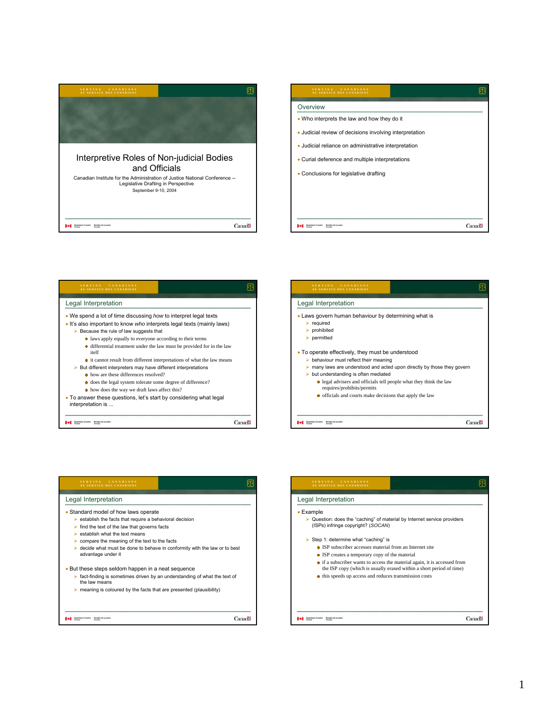





| SERVING CANADIANS<br><b>SEDVICE DES CANADIE</b>                                                            |                                                                          |
|------------------------------------------------------------------------------------------------------------|--------------------------------------------------------------------------|
| Legal Interpretation                                                                                       |                                                                          |
| • Standard model of how laws operate                                                                       |                                                                          |
| $\triangleright$ establish the facts that require a behavioral decision                                    |                                                                          |
| $\triangleright$ find the text of the law that governs facts                                               |                                                                          |
| $\triangleright$ establish what the text means                                                             |                                                                          |
| compare the meaning of the text to the facts                                                               |                                                                          |
| advantage under it                                                                                         | decide what must be done to behave in conformity with the law or to best |
| • But these steps seldom happen in a neat sequence                                                         |                                                                          |
| $\triangleright$ fact-finding is sometimes driven by an understanding of what the text of<br>the law means |                                                                          |
| meaning is coloured by the facts that are presented (plausibility)                                         |                                                                          |
|                                                                                                            |                                                                          |
|                                                                                                            | 2122                                                                     |

| <b>VING</b><br><b>CANADIANS</b><br><b>SERVICE DES CANADIEN!</b>                                                                                                                                                                                                                                                                                                          |        |
|--------------------------------------------------------------------------------------------------------------------------------------------------------------------------------------------------------------------------------------------------------------------------------------------------------------------------------------------------------------------------|--------|
| Legal Interpretation                                                                                                                                                                                                                                                                                                                                                     |        |
| • Example<br>$\triangleright$ Question: does the "caching" of material by Internet service providers<br>(ISPs) infringe copyright? (SOCAM)                                                                                                                                                                                                                               |        |
| Step 1: determine what "caching" is<br>• ISP subscriber accesses material from an Internet site<br>$\bullet$ ISP creates a temporary copy of the material<br>• if a subscriber wants to access the material again, it is accessed from<br>the ISP copy (which is usually erased within a short period of time)<br>• this speeds up access and reduces transmission costs |        |
|                                                                                                                                                                                                                                                                                                                                                                          | Canada |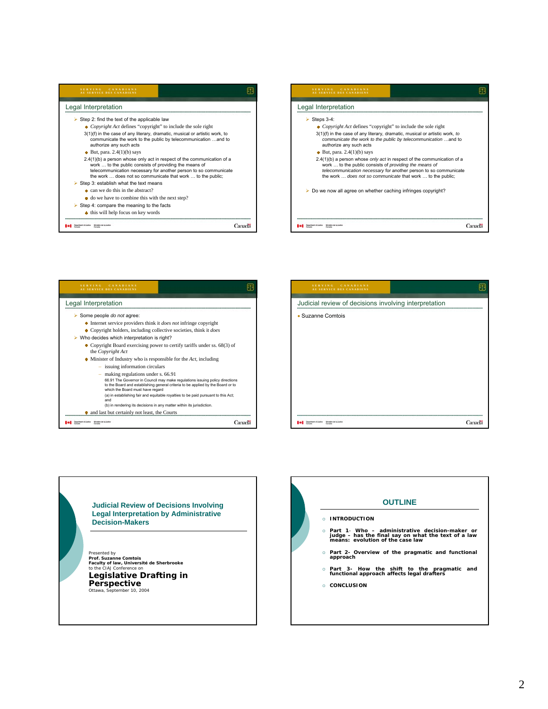| <b>CANADIANS</b><br><b>SERVICE DES CANADIENS</b>                                                                                                                                                                                                                    |        |
|---------------------------------------------------------------------------------------------------------------------------------------------------------------------------------------------------------------------------------------------------------------------|--------|
| Legal Interpretation                                                                                                                                                                                                                                                |        |
| $\triangleright$ Step 2: find the text of the applicable law                                                                                                                                                                                                        |        |
| • Copyright Act defines "copyright" to include the sole right                                                                                                                                                                                                       |        |
| 3(1)(f) in the case of any literary, dramatic, musical or artistic work, to<br>communicate the work to the public by telecommunication and to<br>authorize any such acts                                                                                            |        |
| $\bullet$ But, para. 2.4(1)(b) says                                                                                                                                                                                                                                 |        |
| 2.4(1)(b) a person whose only act in respect of the communication of a<br>work  to the public consists of providing the means of<br>telecommunication necessary for another person to so communicate<br>the work  does not so communicate that work  to the public; |        |
| $\triangleright$ Step 3: establish what the text means                                                                                                                                                                                                              |        |
| $\bullet$ can we do this in the abstract?                                                                                                                                                                                                                           |        |
| $\bullet$ do we have to combine this with the next step?                                                                                                                                                                                                            |        |
| $\triangleright$ Step 4: compare the meaning to the facts                                                                                                                                                                                                           |        |
| $\bullet$ this will help focus on key words                                                                                                                                                                                                                         |        |
|                                                                                                                                                                                                                                                                     | Canadž |









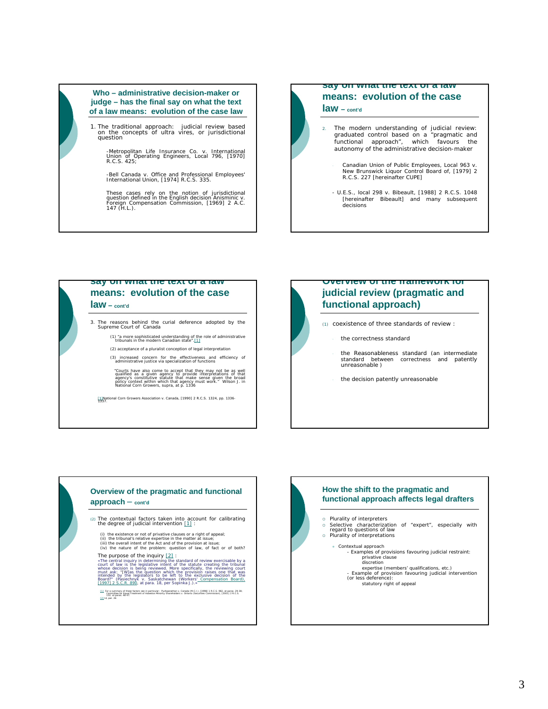

## **say on what the text of a law means: evolution of the case law – cont'd** 2. The modern understanding of judicial review: graduated control based on a "pragmatic and functional approach", which favours the autonomy of the administrative decision-maker Canadian Union of Public Employees, Local 963 v. *New Brunswick Liquor Control Board of*, [1979] 2 R.C.S. 227 [hereinafter CUPE] *- U.E.S., local 298* v. *Bibeault*, [1988] 2 R.C.S. 1048 [hereinafter *Bibeault*] and many subsequent decisions

## **say on what the text of a law means: evolution of the case law – cont'd**

3. The reasons behind the curial deference adopted by the Supreme Court of Canada

(1) "a more sophisticated understanding of the role of administrative tribunals in the modern Canadian state".[1]

(2) acceptance of a pluralist conception of legal interpretation

(3) increased concern for the effectiveness and efficiency of administrative justice via specialization of functions

"Courts have also come to accept that they may not be as well qualified as a given agency's constitutive statute that make sense given the broad agency's constitutive statute that make sense given the broad policy context

[1]*National Corn Growers Association* v. *Canada*, [1990] 2 R.C.S. 1324, pp. 1336- 1337.

### **Overview of the framework for judicial review (pragmatic and functional approach)**

(1) coexistence of three standards of review :

the correctness standard

- the Reasonableness standard (an intermediate standard between correctness and patently unreasonable )
- the decision patently unreasonable

# **Overview of the pragmatic and functional approach** – **cont'd** (2) The contextual factors taken into account for calibrating the degree of judicial intervention  $[1]$  : (i) the existence or not of privative clauses or a right of appeal;<br>(ii) the tribunal's relative expertise in the matter at issue;<br>(iii) the overall intent of the Act and of the provision at issue;<br>(iv) the nature of the

The purpose of the inquiry  $[2]$ :  $]$ :  $]$ :  $]$  and  $\pi$  of review exercisable by a  $\pi$ -The central inquiry in determining the standard of review exercisable by count of the subjective infert of the statute creating the

[1] For a summary of these factors see in particular: Pushpanathan v. Canada (M.C.I.), [1998] 1 R.C.S. 982, at paras. 29-38;<br>"132, at paras. 46-47. "Trastment of Asbestos Minority Shareholders v. Ontario (Securities Commis

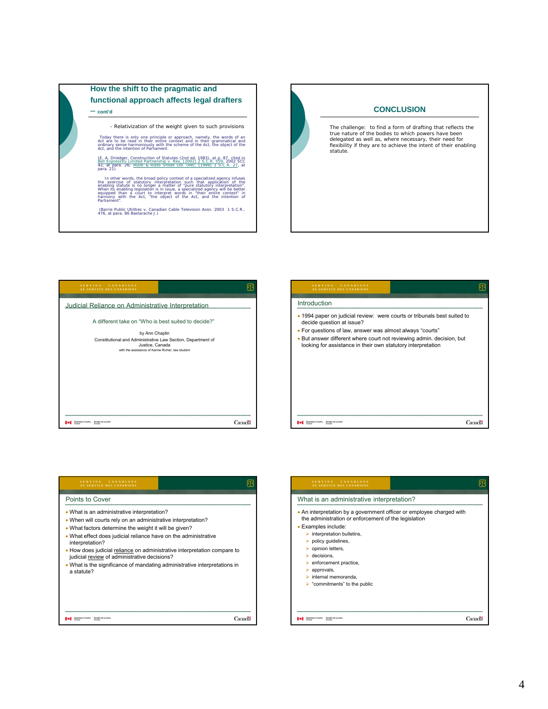



| <b>SERVING</b><br><b>CANADIANS</b><br>AU SERVICE DES CANADIENS                                                                                         |        |
|--------------------------------------------------------------------------------------------------------------------------------------------------------|--------|
| Judicial Reliance on Administrative Interpretation                                                                                                     |        |
| A different take on "Who is best suited to decide?"                                                                                                    |        |
| by Ann Chaplin<br>Constitutional and Administrative Law Section, Department of<br>Justice, Canada<br>with the assistance of Karine Richer, law student |        |
| Ministère de la Justice<br><b>Consulto</b>                                                                                                             | Canada |

| SERVING CANADIANS<br><b>CE DES CANADIENS</b>                                                                                          |        |
|---------------------------------------------------------------------------------------------------------------------------------------|--------|
| Introduction                                                                                                                          |        |
| • 1994 paper on judicial review: were courts or tribunals best suited to<br>decide question at issue?                                 |        |
| • For questions of law, answer was almost always "courts"                                                                             |        |
| . But answer different where court not reviewing admin. decision, but<br>looking for assistance in their own statutory interpretation |        |
|                                                                                                                                       |        |
|                                                                                                                                       |        |
| <b>Resolution</b> the lat Austrian                                                                                                    | Canada |

| SERVING CANADIANS<br><b>CE DES CANADIE</b>                                                                               |       |
|--------------------------------------------------------------------------------------------------------------------------|-------|
| Points to Cover                                                                                                          |       |
| • What is an administrative interpretation?                                                                              |       |
| . When will courts rely on an administrative interpretation?                                                             |       |
| . What factors determine the weight it will be given?                                                                    |       |
| . What effect does judicial reliance have on the administrative<br>interpretation?                                       |       |
| • How does judicial reliance on administrative interpretation compare to<br>judicial review of administrative decisions? |       |
| . What is the significance of mandating administrative interpretations in<br>a statute?                                  |       |
|                                                                                                                          |       |
|                                                                                                                          |       |
|                                                                                                                          |       |
|                                                                                                                          | Canad |

| What is an administrative interpretation?                                                                                    |  |  |  |
|------------------------------------------------------------------------------------------------------------------------------|--|--|--|
| • An interpretation by a government officer or employee charged with<br>the administration or enforcement of the legislation |  |  |  |
| • Examples include:                                                                                                          |  |  |  |
| $\triangleright$ interpretation bulletins,                                                                                   |  |  |  |
| $\triangleright$ policy guidelines,                                                                                          |  |  |  |
| $\triangleright$ opinion letters,                                                                                            |  |  |  |
| $\triangleright$ decisions.                                                                                                  |  |  |  |
| $\triangleright$ enforcement practice,                                                                                       |  |  |  |
| $\triangleright$ approvals,                                                                                                  |  |  |  |
| $\triangleright$ internal memoranda,                                                                                         |  |  |  |
| $\triangleright$ "commitments" to the public                                                                                 |  |  |  |
|                                                                                                                              |  |  |  |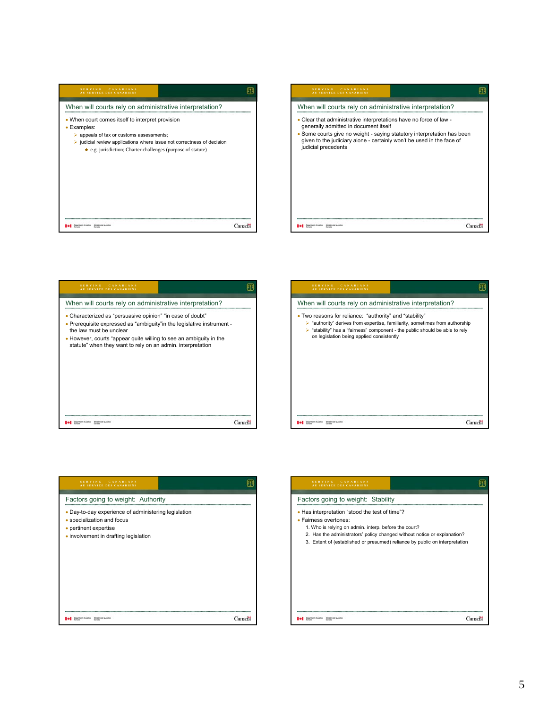| SERVING CANADIANS<br><b>ICE DES CANADIENS</b>                                                                                                                                                                                                                      |        |
|--------------------------------------------------------------------------------------------------------------------------------------------------------------------------------------------------------------------------------------------------------------------|--------|
| When will courts rely on administrative interpretation?                                                                                                                                                                                                            |        |
| • When court comes itself to interpret provision<br>• Examples:<br>$\triangleright$ appeals of tax or customs assessments;<br>iudicial review applications where issue not correctness of decision<br>• e.g. jurisdiction; Charter challenges (purpose of statute) |        |
| Ministers de la Justice                                                                                                                                                                                                                                            | Canada |

| SERVING CANADIANS<br>ATT SERVICE DES CANADIENS                                                                                                                                                                                                                                       |              |
|--------------------------------------------------------------------------------------------------------------------------------------------------------------------------------------------------------------------------------------------------------------------------------------|--------------|
| When will courts rely on administrative interpretation?                                                                                                                                                                                                                              |              |
| . Clear that administrative interpretations have no force of law -<br>generally admitted in document itself<br>Some courts give no weight - saying statutory interpretation has been<br>given to the judiciary alone - certainly won't be used in the face of<br>judicial precedents |              |
| sears as is Justice                                                                                                                                                                                                                                                                  | <b>Canad</b> |

| SERVING CANADIANS<br><b>CE DES CANADIENS</b>                                                                                                                     |        |
|------------------------------------------------------------------------------------------------------------------------------------------------------------------|--------|
| When will courts rely on administrative interpretation?                                                                                                          |        |
| • Characterized as "persuasive opinion" "in case of doubt"<br>. Prerequisite expressed as "ambiguity" in the legislative instrument -<br>the law must be unclear |        |
| • However, courts "appear quite willing to see an ambiguity in the<br>statute" when they want to rely on an admin. interpretation                                |        |
|                                                                                                                                                                  |        |
|                                                                                                                                                                  |        |
|                                                                                                                                                                  |        |
|                                                                                                                                                                  |        |
| Ministers de la Justice                                                                                                                                          | Canada |



| SERVING CANADIANS<br>AU SERVICE DES CANADIENS                                                                                                        |        |
|------------------------------------------------------------------------------------------------------------------------------------------------------|--------|
| Factors going to weight: Authority                                                                                                                   |        |
| • Day-to-day experience of administering legislation<br>• specialization and focus<br>• pertinent expertise<br>• involvement in drafting legislation |        |
| Ministers de la Justice<br>with N1<br><b>STARS</b>                                                                                                   | Canada |

| SERVING CANADIANS<br>AU SERVICE DES CANADIENS                                                                                                                                                                                                                                               |        |
|---------------------------------------------------------------------------------------------------------------------------------------------------------------------------------------------------------------------------------------------------------------------------------------------|--------|
| Factors going to weight: Stability                                                                                                                                                                                                                                                          |        |
| • Has interpretation "stood the test of time"?<br>· Fairness overtones:<br>1. Who is relying on admin. interp. before the court?<br>2. Has the administrators' policy changed without notice or explanation?<br>3. Extent of (established or presumed) reliance by public on interpretation |        |
| Ministers de la Justice                                                                                                                                                                                                                                                                     | Canada |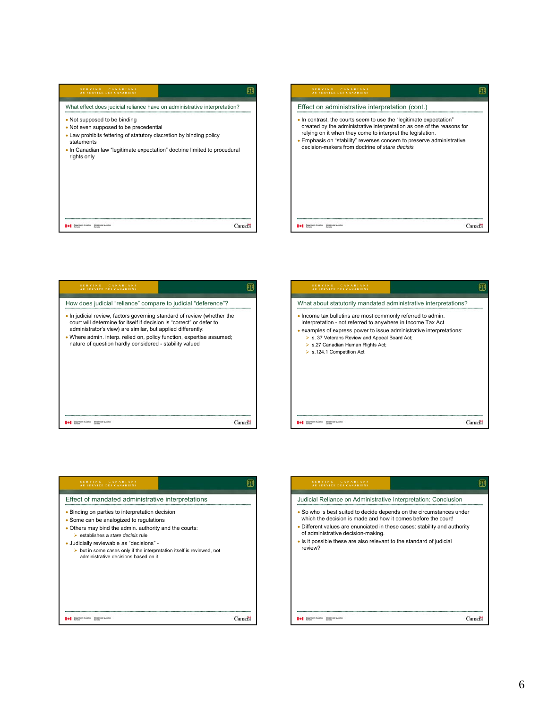| • Not supposed to be binding                                                      |                                                                           |
|-----------------------------------------------------------------------------------|---------------------------------------------------------------------------|
| • Not even supposed to be precedential                                            |                                                                           |
| • Law prohibits fettering of statutory discretion by binding policy<br>statements |                                                                           |
| rights only                                                                       | • In Canadian law "legitimate expectation" doctrine limited to procedural |
|                                                                                   |                                                                           |
|                                                                                   |                                                                           |
|                                                                                   |                                                                           |

Canada

141 Special Asian Special Antonio

| SERVING CANADIANS<br><b>ICE DES CANADIENS</b>                                                                                                                                                                                                                                                                                       |                |
|-------------------------------------------------------------------------------------------------------------------------------------------------------------------------------------------------------------------------------------------------------------------------------------------------------------------------------------|----------------|
| Effect on administrative interpretation (cont.)                                                                                                                                                                                                                                                                                     |                |
| • In contrast, the courts seem to use the "legitimate expectation"<br>created by the administrative interpretation as one of the reasons for<br>relying on it when they come to interpret the legislation.<br>Emphasis on "stability" reverses concern to preserve administrative<br>decision-makers from doctrine of stare decisis |                |
|                                                                                                                                                                                                                                                                                                                                     | <b>CONTROL</b> |

| SERVING CANADIANS<br>AT SERVICE DES CANADIEN:                                                                                                                                                                  |        |
|----------------------------------------------------------------------------------------------------------------------------------------------------------------------------------------------------------------|--------|
| How does judicial "reliance" compare to judicial "deference"?                                                                                                                                                  |        |
| • In judicial review, factors governing standard of review (whether the<br>court will determine for itself if decision is "correct" or defer to<br>administrator's view) are similar, but applied differently: |        |
| . Where admin. interp. relied on, policy function, expertise assumed;<br>nature of question hardly considered - stability valued                                                                               |        |
|                                                                                                                                                                                                                |        |
|                                                                                                                                                                                                                |        |
|                                                                                                                                                                                                                |        |
|                                                                                                                                                                                                                |        |
| Ministère de la Justice                                                                                                                                                                                        | Canada |



| SERVING CANADIANS<br>SERVICE DES CANADIENS                                                                                                                                                                                                                                                                                                                                                     |        |
|------------------------------------------------------------------------------------------------------------------------------------------------------------------------------------------------------------------------------------------------------------------------------------------------------------------------------------------------------------------------------------------------|--------|
| Effect of mandated administrative interpretations                                                                                                                                                                                                                                                                                                                                              |        |
| • Binding on parties to interpretation decision<br>• Some can be analogized to regulations<br>• Others may bind the admin. authority and the courts:<br>$\triangleright$ establishes a <i>stare decisis</i> rule<br>• Judicially reviewable as "decisions" -<br>$\triangleright$ but in some cases only if the interpretation itself is reviewed, not<br>administrative decisions based on it. |        |
|                                                                                                                                                                                                                                                                                                                                                                                                | Canada |

| SERVING CANADIANS<br>AU SERVICE DES CANADIENS                                                                                         |        |
|---------------------------------------------------------------------------------------------------------------------------------------|--------|
| Judicial Reliance on Administrative Interpretation: Conclusion                                                                        |        |
| • So who is best suited to decide depends on the circumstances under<br>which the decision is made and how it comes before the court! |        |
| • Different values are enunciated in these cases: stability and authority<br>of administrative decision-making.                       |        |
| • Is it possible these are also relevant to the standard of judicial<br>review?                                                       |        |
|                                                                                                                                       |        |
|                                                                                                                                       |        |
|                                                                                                                                       |        |
|                                                                                                                                       |        |
| Ministers de la Justice                                                                                                               | Canada |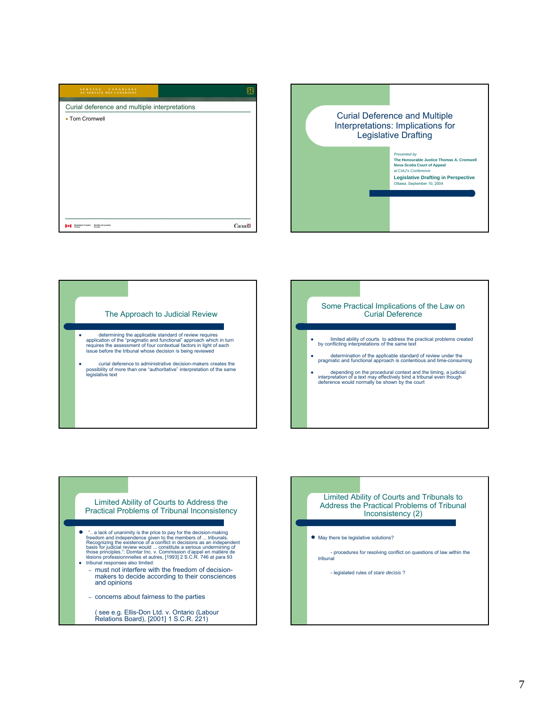







- limited ability of courts to address the practical problems created by conflicting interpretations of the same text
- determination of the applicable standard of review under the pragmatic and functional approach is contentious and time-consuming
- depending on the procedural context and the timing, a judicial interpretation of a text may effectively bind a tribunal even though deference would normally be shown by the court

#### Limited Ability of Courts to Address the Practical Problems of Tribunal Inconsistency

- ".. a lack of unanimity is the price to pay for the decision-making freedom and independence given to the members of ... tribunals.<br>Recognizing the existence of a conflict in decisions as an independent<br>basis for judicial review would ... constitute a serious undermining of<br>those principle tribunal responses also limited:
- must not interfere with the freedom of decisionmakers to decide according to their consciences and opinions
	- concerns about fairness to the parties

( see e.g. Ellis-Don Ltd. v. Ontario (Labour Relations Board), [2001] 1 S.C.R. 221)

### Limited Ability of Courts and Tribunals to Address the Practical Problems of Tribunal Inconsistency (2)

● May there be legislative solutions?

- procedures for resolving conflict on questions of law within the tribunal

- legislated rules of *stare decisis* ?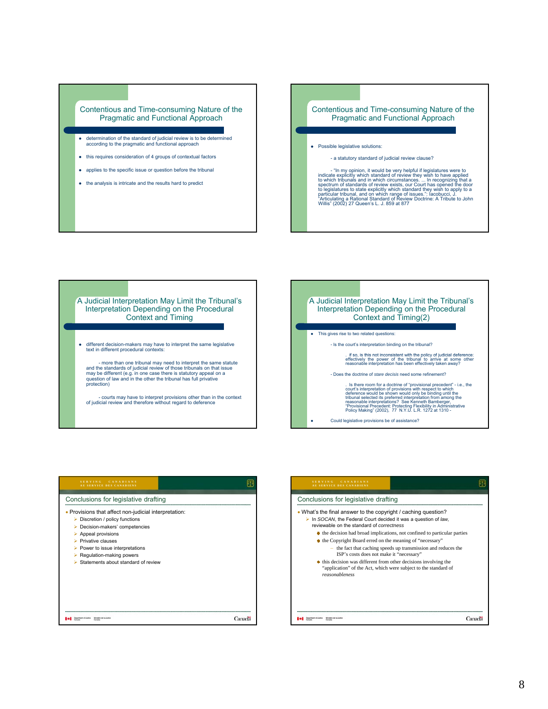#### Contentious and Time-consuming Nature of the Pragmatic and Functional Approach

- determination of the standard of judicial review is to be determined according to the pragmatic and functional approach
- $\bullet$  this requires consideration of 4 groups of contextual factors
- applies to the specific issue or question before the tribunal
- the analysis is intricate and the results hard to predict

#### Contentious and Time-consuming Nature of the Pragmatic and Functional Approach

- Possible legislative solutions:
	- a statutory standard of judicial review clause?

- "In my opinion, it would be very helpful if legislatures were to<br>indicate explicitly which standard of review they wish to have applied<br>to which tribunals and in which circumstances. ... In recognizing that a<br>spectrum of

#### A Judicial Interpretation May Limit the Tribunal's Interpretation Depending on the Procedural Context and Timing

different decision-makers may have to interpret the same legislative text in different procedural contexts:

- more than one tribunal may need to interpret the same statute<br>and the standards of judicial review of those tribunals on that issue<br>may be different (e.g. in one case there is statutory appeal on a<br>question of law and in protection)

- courts may have to interpret provisions other than in the context of judicial review and therefore without regard to deference

# A Judicial Interpretation May Limit the Tribunal's Interpretation Depending on the Procedural Context and Timing(2) • This gives rise to two related questions - Is the court's interpretation binding on the tribunal? . if so, is this not inconsistent with the policy of judicial deference:<br>effectively the power of the tribunal to arrive at some other<br>reasonable interpretation has been effectively taken away? - Does the doctrine of *stare decisis* need some refinement? . Is there room for a doctrine of "provisional precedent" - i.e., the<br>court's interpretation of provisions with respect to which<br>deference would be shown would only be binding until the<br>tribunal selected its preferred inte

Could legislative provisions be of assistance?

| SERVING CANADIANS<br>AU SERVICE DES CANADIENS                                                                                                                                                                                                                                                                                                     |        |
|---------------------------------------------------------------------------------------------------------------------------------------------------------------------------------------------------------------------------------------------------------------------------------------------------------------------------------------------------|--------|
| Conclusions for legislative drafting                                                                                                                                                                                                                                                                                                              |        |
| • Provisions that affect non-judicial interpretation:<br>$\triangleright$ Discretion / policy functions<br>> Decision-makers' competencies<br>Appeal provisions<br>$\triangleright$ Privative clauses<br>$\triangleright$ Power to issue interpretations<br>Regulation-making powers<br>⋗<br>$\triangleright$ Statements about standard of review |        |
|                                                                                                                                                                                                                                                                                                                                                   | Canada |

| SERVING CANADIANS<br>'F DES CANADII                                                                                                                                                                                                                                                                                                                                                                                                            |                                                                                                                                             |
|------------------------------------------------------------------------------------------------------------------------------------------------------------------------------------------------------------------------------------------------------------------------------------------------------------------------------------------------------------------------------------------------------------------------------------------------|---------------------------------------------------------------------------------------------------------------------------------------------|
| Conclusions for legislative drafting                                                                                                                                                                                                                                                                                                                                                                                                           |                                                                                                                                             |
| • What's the final answer to the copyright / caching question?<br>In SOCAN, the Federal Court decided it was a question of law,<br>reviewable on the standard of correctness<br>• the Copyright Board erred on the meaning of "necessary"<br>ISP's costs does not make it "necessary"<br>• this decision was different from other decisions involving the<br>"application" of the Act, which were subject to the standard of<br>reasonableness | • the decision had broad implications, not confined to particular parties<br>- the fact that caching speeds up transmission and reduces the |
| <b>Interest de la Judice</b>                                                                                                                                                                                                                                                                                                                                                                                                                   | Canada                                                                                                                                      |